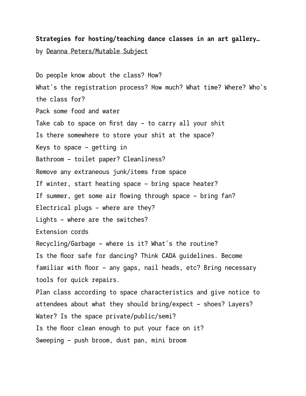## **Strategies for hosting/teaching dance classes in an art gallery…** by [Deanna Peters/Mutable Subject](http://mutablesubject.ca)

Do people know about the class? How? What's the registration process? How much? What time? Where? Who's the class for? Pack some food and water Take cab to space on first day – to carry all your shit Is there somewhere to store your shit at the space? Keys to space – getting in Bathroom – toilet paper? Cleanliness? Remove any extraneous junk/items from space If winter, start heating space – bring space heater? If summer, get some air flowing through space – bring fan? Electrical plugs – where are they? Lights – where are the switches? Extension cords Recycling/Garbage – where is it? What's the routine? Is the floor safe for dancing? Think CADA guidelines. Become familiar with floor – any gaps, nail heads, etc? Bring necessary tools for quick repairs. Plan class according to space characteristics and give notice to attendees about what they should bring/expect – shoes? Layers? Water? Is the space private/public/semi? Is the floor clean enough to put your face on it? Sweeping – push broom, dust pan, mini broom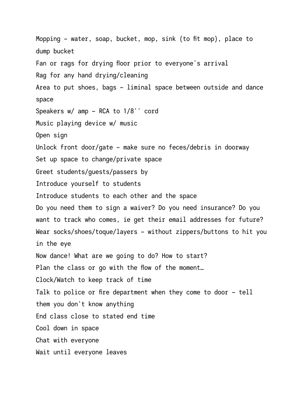Mopping – water, soap, bucket, mop, sink (to fit mop), place to dump bucket Fan or rags for drying floor prior to everyone's arrival Rag for any hand drying/cleaning Area to put shoes, bags – liminal space between outside and dance space Speakers w/ amp – RCA to 1/8'' cord Music playing device w/ music Open sign Unlock front door/gate – make sure no feces/debris in doorway Set up space to change/private space Greet students/guests/passers by Introduce yourself to students Introduce students to each other and the space Do you need them to sign a waiver? Do you need insurance? Do you want to track who comes, ie get their email addresses for future? Wear socks/shoes/toque/layers – without zippers/buttons to hit you in the eye Now dance! What are we going to do? How to start? Plan the class or go with the flow of the moment… Clock/Watch to keep track of time Talk to police or fire department when they come to door – tell them you don't know anything End class close to stated end time Cool down in space Chat with everyone Wait until everyone leaves